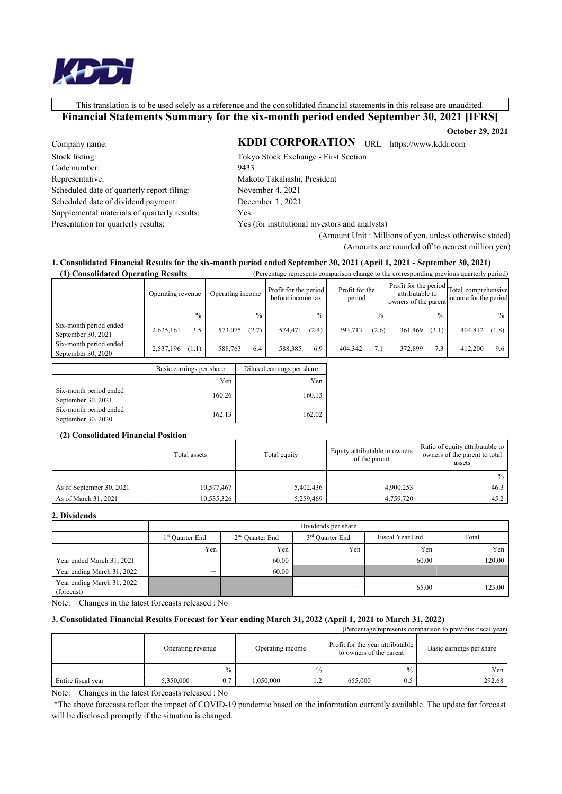This translation is to be used solely as a reference and the consolidated financial statements in this release are unaudited.

Financial Statements Summary for the six-month period ended September 30, 2021 [IFRS]

**October 29, 2021** 

Company name: Stock listing: Code number: Representative: Scheduled date of quarterly report filing: Scheduled date of dividend payment: Supplemental materials of quarterly results: Presentation for quarterly results:

KDDI CORPORATION URL https://www.kddi.com Tokyo Stock Exchange - First Section 9433 Makoto Takahashi, President November 4, 2021 December 1, 2021 Yes

Yes (for institutional investors and analysts)

(Amount Unit: Millions of yen, unless otherwise stated) (Amounts are rounded off to nearest million yen)

#### 1. Consolidated Financial Results for the six-month period ended September 30, 2021 (April 1, 2021 - September 30, 2021)  $\mathbf{r}$  and  $\mathbf{r}$ المرابطة

| (1) Consolidated Operating Results           |                          |         |                  |                                            |               | (Percentage represents comparison change to the corresponding previous quarterly period) |          |                                         |               |                                                                    |               |
|----------------------------------------------|--------------------------|---------|------------------|--------------------------------------------|---------------|------------------------------------------------------------------------------------------|----------|-----------------------------------------|---------------|--------------------------------------------------------------------|---------------|
|                                              | Operating revenue        |         | Operating income | Profit for the period<br>before income tax |               | Profit for the<br>period                                                                 |          | attributable to<br>owners of the parent |               | Profit for the period Total comprehensive<br>income for the period |               |
|                                              | $\frac{0}{0}$            |         | $\frac{0}{0}$    |                                            | $\frac{0}{0}$ |                                                                                          | $^{0/2}$ |                                         | $\frac{0}{0}$ |                                                                    | $\frac{0}{0}$ |
| Six-month period ended<br>September 30, 2021 | 3.5<br>2,625,161         | 573,075 | (2.7)            | 574,471                                    | (2.4)         | 393,713                                                                                  | (2.6)    | 361,469                                 | (3.1)         | 404,812                                                            | (1.8)         |
| Six-month period ended<br>September 30, 2020 | 2,537,196<br>(1.1)       | 588,763 | 6.4              | 588,385                                    | 6.9           | 404,342                                                                                  | 7.1      | 372,899                                 | 7.3           | 412,200                                                            | 9.6           |
|                                              | Basic earnings per share |         |                  | Diluted earnings per share                 |               |                                                                                          |          |                                         |               |                                                                    |               |

|                                              | Basic earnings per share | Diluted earnings per share |
|----------------------------------------------|--------------------------|----------------------------|
|                                              | Yen                      | Yen                        |
| Six-month period ended<br>September 30, 2021 | 160.26                   | 160.13                     |
| Six-month period ended<br>September 30, 2020 | 162.13                   | 162.02                     |

### (2) Consolidated Financial Position

|                          | Total assets | Total equity | Equity attributable to owners<br>of the parent | Ratio of equity attributable to<br>owners of the parent to total<br>assets |
|--------------------------|--------------|--------------|------------------------------------------------|----------------------------------------------------------------------------|
|                          |              |              |                                                | $\%$                                                                       |
| As of September 30, 2021 | 10,577,467   | 5,402,436    | 4,900,253                                      | 46.3                                                                       |
| As of March 31, 2021     | 10,535,326   | 5,259,469    | 4,759,720                                      | 45.2                                                                       |

#### 2. Dividends

|                                          | Dividends per share         |                   |                             |                 |        |  |  |
|------------------------------------------|-----------------------------|-------------------|-----------------------------|-----------------|--------|--|--|
|                                          | 1 <sup>st</sup> Quarter End | $2nd$ Quarter End | 3 <sup>rd</sup> Quarter End | Fiscal Year End | Total  |  |  |
|                                          | Yen                         | Yen               | Yen                         | Yen,            | Yen    |  |  |
| Year ended March 31, 2021                | -                           | 60.00             | -                           | 60.00           | 120.00 |  |  |
| Year ending March 31, 2022               | –                           | 60.00             |                             |                 |        |  |  |
| Year ending March 31, 2022<br>(forecast) |                             |                   | $\overline{\phantom{a}}$    | 65.00           | 125.00 |  |  |

Note: Changes in the latest forecasts released : No

#### 3. Consolidated Financial Results Forecast for Year ending March 31, 2022 (April 1, 2021 to March 31, 2022) (Dependence represents comparison to previous fiscal year)

|                    | Operating revenue |               | Operating income |                               | Telechtage represents comparison to previous fiscar year<br>Profit for the year attributable<br>to owners of the parent |      | Basic earnings per share |  |
|--------------------|-------------------|---------------|------------------|-------------------------------|-------------------------------------------------------------------------------------------------------------------------|------|--------------------------|--|
|                    |                   | $\frac{0}{0}$ |                  | %                             |                                                                                                                         | $\%$ | Yen                      |  |
| Entire fiscal year | 5,350,000         | 0.7           | .050.000         | $\bigcirc$<br>$\cdot$ $\cdot$ | 655,000                                                                                                                 | 0.5  | 292.68                   |  |

Note: Changes in the latest forecasts released : No

\*The above forecasts reflect the impact of COVID-19 pandemic based on the information currently available. The update for forecast will be disclosed promptly if the situation is changed.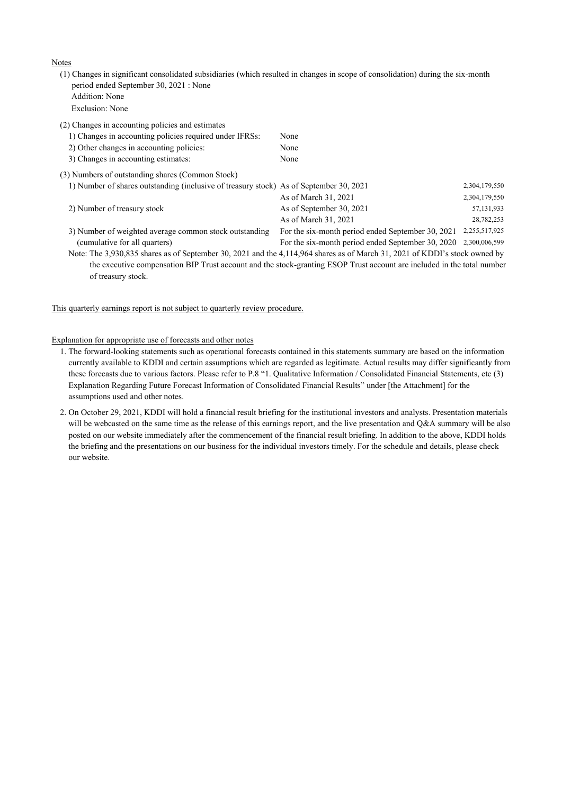Notes

(1) Changes in significant consolidated subsidiaries (which resulted in changes in scope of consolidation) during the six-month period ended September 30, 2021 : None Addition: None

Exclusion: None

| (2) Changes in accounting policies and estimates                                                                           |                                                   |               |
|----------------------------------------------------------------------------------------------------------------------------|---------------------------------------------------|---------------|
| 1) Changes in accounting policies required under IFRSs:                                                                    | None                                              |               |
| 2) Other changes in accounting policies:                                                                                   | None                                              |               |
| 3) Changes in accounting estimates:                                                                                        | None                                              |               |
| (3) Numbers of outstanding shares (Common Stock)                                                                           |                                                   |               |
| 1) Number of shares outstanding (inclusive of treasury stock) As of September 30, 2021                                     |                                                   | 2,304,179,550 |
|                                                                                                                            | As of March 31, 2021                              | 2,304,179,550 |
| 2) Number of treasury stock                                                                                                | As of September 30, 2021                          | 57,131,933    |
|                                                                                                                            | As of March 31, 2021                              | 28,782,253    |
| 3) Number of weighted average common stock outstanding                                                                     | For the six-month period ended September 30, 2021 | 2,255,517,925 |
| (cumulative for all quarters)                                                                                              | For the six-month period ended September 30, 2020 | 2,300,006,599 |
| Note: The 3,930,835 shares as of September 30, 2021 and the 4,114,964 shares as of March 31, 2021 of KDDI's stock owned by |                                                   |               |
| the executive compensation BIP Trust account and the stock-granting ESOP Trust account are included in the total number    |                                                   |               |
| of treasury stock.                                                                                                         |                                                   |               |

This quarterly earnings report is not subject to quarterly review procedure.

#### Explanation for appropriate use of forecasts and other notes

- 1. The forward-looking statements such as operational forecasts contained in this statements summary are based on the information currently available to KDDI and certain assumptions which are regarded as legitimate. Actual results may differ significantly from these forecasts due to various factors. Please refer to P.8 "1. Qualitative Information / Consolidated Financial Statements, etc (3) Explanation Regarding Future Forecast Information of Consolidated Financial Results" under [the Attachment] for the assumptions used and other notes.
- 2. On October 29, 2021, KDDI will hold a financial result briefing for the institutional investors and analysts. Presentation materials will be webcasted on the same time as the release of this earnings report, and the live presentation and Q&A summary will be also posted on our website immediately after the commencement of the financial result briefing. In addition to the above, KDDI holds the briefing and the presentations on our business for the individual investors timely. For the schedule and details, please check our website.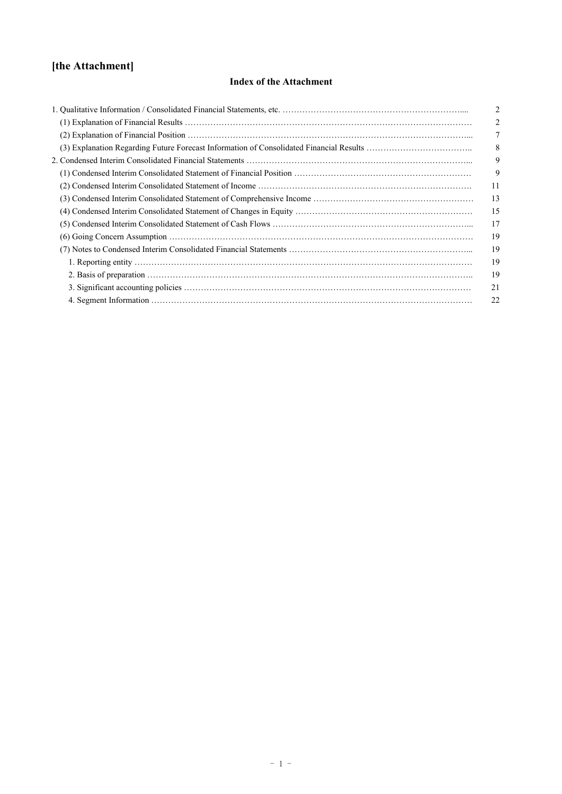# **[the Attachment]**

### **Index of the Attachment**

| 2  |
|----|
| 2  |
|    |
| 8  |
| 9  |
| 9  |
| 11 |
| 13 |
| 15 |
| 17 |
| 19 |
| 19 |
| 19 |
| 19 |
| 21 |
| 22 |
|    |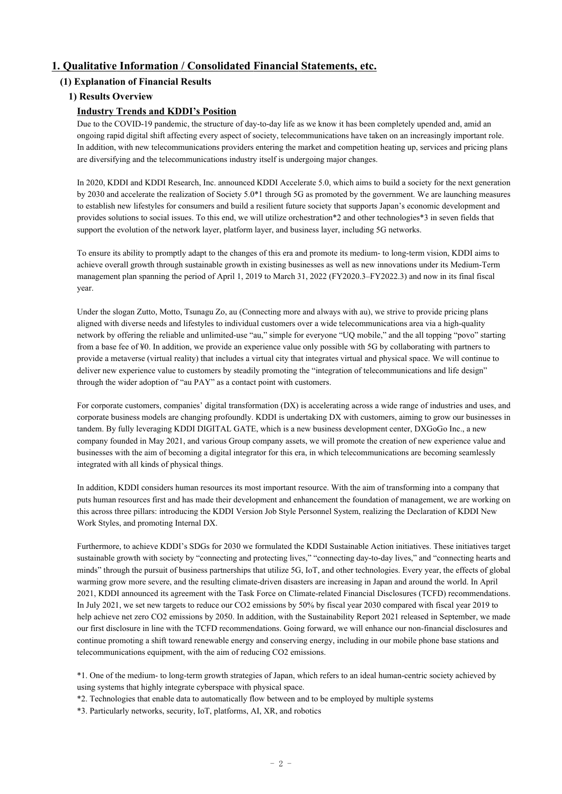### **1. Qualitative Information / Consolidated Financial Statements, etc.**

### **(1) Explanation of Financial Results**

### **1) Results Overview**

#### **Industry Trends and KDDI's Position**

Due to the COVID-19 pandemic, the structure of day-to-day life as we know it has been completely upended and, amid an ongoing rapid digital shift affecting every aspect of society, telecommunications have taken on an increasingly important role. In addition, with new telecommunications providers entering the market and competition heating up, services and pricing plans are diversifying and the telecommunications industry itself is undergoing major changes.

In 2020, KDDI and KDDI Research, Inc. announced KDDI Accelerate 5.0, which aims to build a society for the next generation by 2030 and accelerate the realization of Society 5.0\*1 through 5G as promoted by the government. We are launching measures to establish new lifestyles for consumers and build a resilient future society that supports Japan's economic development and provides solutions to social issues. To this end, we will utilize orchestration\*2 and other technologies\*3 in seven fields that support the evolution of the network layer, platform layer, and business layer, including 5G networks.

To ensure its ability to promptly adapt to the changes of this era and promote its medium- to long-term vision, KDDI aims to achieve overall growth through sustainable growth in existing businesses as well as new innovations under its Medium-Term management plan spanning the period of April 1, 2019 to March 31, 2022 (FY2020.3–FY2022.3) and now in its final fiscal year.

Under the slogan Zutto, Motto, Tsunagu Zo, au (Connecting more and always with au), we strive to provide pricing plans aligned with diverse needs and lifestyles to individual customers over a wide telecommunications area via a high-quality network by offering the reliable and unlimited-use "au," simple for everyone "UQ mobile," and the all topping "povo" starting from a base fee of ¥0. In addition, we provide an experience value only possible with 5G by collaborating with partners to provide a metaverse (virtual reality) that includes a virtual city that integrates virtual and physical space. We will continue to deliver new experience value to customers by steadily promoting the "integration of telecommunications and life design" through the wider adoption of "au PAY" as a contact point with customers.

For corporate customers, companies' digital transformation (DX) is accelerating across a wide range of industries and uses, and corporate business models are changing profoundly. KDDI is undertaking DX with customers, aiming to grow our businesses in tandem. By fully leveraging KDDI DIGITAL GATE, which is a new business development center, DXGoGo Inc., a new company founded in May 2021, and various Group company assets, we will promote the creation of new experience value and businesses with the aim of becoming a digital integrator for this era, in which telecommunications are becoming seamlessly integrated with all kinds of physical things.

In addition, KDDI considers human resources its most important resource. With the aim of transforming into a company that puts human resources first and has made their development and enhancement the foundation of management, we are working on this across three pillars: introducing the KDDI Version Job Style Personnel System, realizing the Declaration of KDDI New Work Styles, and promoting Internal DX.

Furthermore, to achieve KDDI's SDGs for 2030 we formulated the KDDI Sustainable Action initiatives. These initiatives target sustainable growth with society by "connecting and protecting lives," "connecting day-to-day lives," and "connecting hearts and minds" through the pursuit of business partnerships that utilize 5G, IoT, and other technologies. Every year, the effects of global warming grow more severe, and the resulting climate-driven disasters are increasing in Japan and around the world. In April 2021, KDDI announced its agreement with the Task Force on Climate-related Financial Disclosures (TCFD) recommendations. In July 2021, we set new targets to reduce our CO2 emissions by 50% by fiscal year 2030 compared with fiscal year 2019 to help achieve net zero CO2 emissions by 2050. In addition, with the Sustainability Report 2021 released in September, we made our first disclosure in line with the TCFD recommendations. Going forward, we will enhance our non-financial disclosures and continue promoting a shift toward renewable energy and conserving energy, including in our mobile phone base stations and telecommunications equipment, with the aim of reducing CO2 emissions.

\*1. One of the medium- to long-term growth strategies of Japan, which refers to an ideal human-centric society achieved by using systems that highly integrate cyberspace with physical space.

\*2. Technologies that enable data to automatically flow between and to be employed by multiple systems

\*3. Particularly networks, security, IoT, platforms, AI, XR, and robotics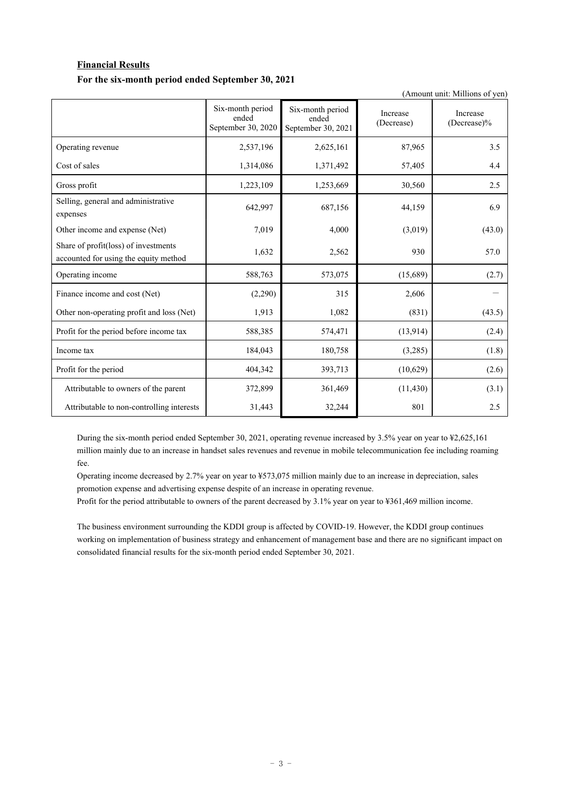### **Financial Results For the six-month period ended September 30, 2021**

(Amount unit: Millions of yen)

|                                                                               | Six-month period<br>ended<br>September 30, 2020 | Six-month period<br>ended<br>September 30, 2021 | Increase<br>(Decrease) | Increase<br>(Decrease)% |
|-------------------------------------------------------------------------------|-------------------------------------------------|-------------------------------------------------|------------------------|-------------------------|
| Operating revenue                                                             | 2,537,196                                       | 2,625,161                                       | 87,965                 | 3.5                     |
| Cost of sales                                                                 | 1,314,086                                       | 1,371,492                                       | 57,405                 | 4.4                     |
| Gross profit                                                                  | 1,223,109                                       | 1,253,669                                       | 30,560                 | 2.5                     |
| Selling, general and administrative<br>expenses                               | 642,997                                         | 687,156                                         | 44,159                 | 6.9                     |
| Other income and expense (Net)                                                | 7,019                                           | 4,000                                           | (3,019)                | (43.0)                  |
| Share of profit(loss) of investments<br>accounted for using the equity method | 1,632                                           | 2,562                                           | 930                    | 57.0                    |
| Operating income                                                              | 588,763                                         | 573,075                                         | (15,689)               | (2.7)                   |
| Finance income and cost (Net)                                                 | (2,290)                                         | 315                                             | 2,606                  |                         |
| Other non-operating profit and loss (Net)                                     | 1,913                                           | 1,082                                           | (831)                  | (43.5)                  |
| Profit for the period before income tax                                       | 588,385                                         | 574,471                                         | (13, 914)              | (2.4)                   |
| Income tax                                                                    | 184,043                                         | 180,758                                         | (3,285)                | (1.8)                   |
| Profit for the period                                                         | 404,342                                         | 393,713                                         | (10,629)               | (2.6)                   |
| Attributable to owners of the parent                                          | 372,899                                         | 361,469                                         | (11, 430)              | (3.1)                   |
| Attributable to non-controlling interests                                     | 31,443                                          | 32,244                                          | 801                    | 2.5                     |

During the six-month period ended September 30, 2021, operating revenue increased by 3.5% year on year to ¥2,625,161 million mainly due to an increase in handset sales revenues and revenue in mobile telecommunication fee including roaming fee.

Operating income decreased by 2.7% year on year to ¥573,075 million mainly due to an increase in depreciation, sales promotion expense and advertising expense despite of an increase in operating revenue.

Profit for the period attributable to owners of the parent decreased by 3.1% year on year to ¥361,469 million income.

The business environment surrounding the KDDI group is affected by COVID-19. However, the KDDI group continues working on implementation of business strategy and enhancement of management base and there are no significant impact on consolidated financial results for the six-month period ended September 30, 2021.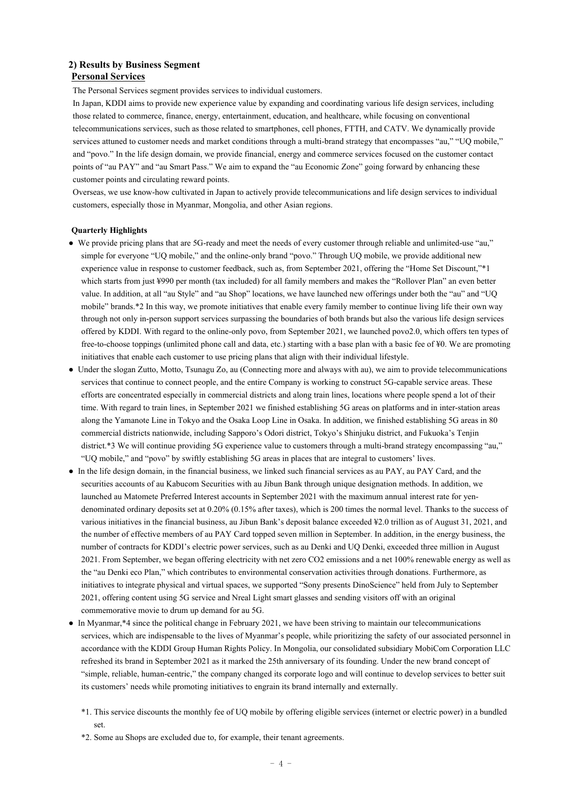#### **2) Results by Business Segment Personal Services**

The Personal Services segment provides services to individual customers.

In Japan, KDDI aims to provide new experience value by expanding and coordinating various life design services, including those related to commerce, finance, energy, entertainment, education, and healthcare, while focusing on conventional telecommunications services, such as those related to smartphones, cell phones, FTTH, and CATV. We dynamically provide services attuned to customer needs and market conditions through a multi-brand strategy that encompasses "au," "UQ mobile," and "povo." In the life design domain, we provide financial, energy and commerce services focused on the customer contact points of "au PAY" and "au Smart Pass." We aim to expand the "au Economic Zone" going forward by enhancing these customer points and circulating reward points.

Overseas, we use know-how cultivated in Japan to actively provide telecommunications and life design services to individual customers, especially those in Myanmar, Mongolia, and other Asian regions.

#### **Quarterly Highlights**

- We provide pricing plans that are 5G-ready and meet the needs of every customer through reliable and unlimited-use "au," simple for everyone "UQ mobile," and the online-only brand "povo." Through UQ mobile, we provide additional new experience value in response to customer feedback, such as, from September 2021, offering the "Home Set Discount,"\*1 which starts from just ¥990 per month (tax included) for all family members and makes the "Rollover Plan" an even better value. In addition, at all "au Style" and "au Shop" locations, we have launched new offerings under both the "au" and "UQ mobile" brands.\*2 In this way, we promote initiatives that enable every family member to continue living life their own way through not only in-person support services surpassing the boundaries of both brands but also the various life design services offered by KDDI. With regard to the online-only povo, from September 2021, we launched povo2.0, which offers ten types of free-to-choose toppings (unlimited phone call and data, etc.) starting with a base plan with a basic fee of ¥0. We are promoting initiatives that enable each customer to use pricing plans that align with their individual lifestyle.
- Under the slogan Zutto, Motto, Tsunagu Zo, au (Connecting more and always with au), we aim to provide telecommunications services that continue to connect people, and the entire Company is working to construct 5G-capable service areas. These efforts are concentrated especially in commercial districts and along train lines, locations where people spend a lot of their time. With regard to train lines, in September 2021 we finished establishing 5G areas on platforms and in inter-station areas along the Yamanote Line in Tokyo and the Osaka Loop Line in Osaka. In addition, we finished establishing 5G areas in 80 commercial districts nationwide, including Sapporo's Odori district, Tokyo's Shinjuku district, and Fukuoka's Tenjin district.\*3 We will continue providing 5G experience value to customers through a multi-brand strategy encompassing "au," "UQ mobile," and "povo" by swiftly establishing 5G areas in places that are integral to customers' lives.
- In the life design domain, in the financial business, we linked such financial services as au PAY, au PAY Card, and the securities accounts of au Kabucom Securities with au Jibun Bank through unique designation methods. In addition, we launched au Matomete Preferred Interest accounts in September 2021 with the maximum annual interest rate for yendenominated ordinary deposits set at 0.20% (0.15% after taxes), which is 200 times the normal level. Thanks to the success of various initiatives in the financial business, au Jibun Bank's deposit balance exceeded ¥2.0 trillion as of August 31, 2021, and the number of effective members of au PAY Card topped seven million in September. In addition, in the energy business, the number of contracts for KDDI's electric power services, such as au Denki and UQ Denki, exceeded three million in August 2021. From September, we began offering electricity with net zero CO2 emissions and a net 100% renewable energy as well as the "au Denki eco Plan," which contributes to environmental conservation activities through donations. Furthermore, as initiatives to integrate physical and virtual spaces, we supported "Sony presents DinoScience" held from July to September 2021, offering content using 5G service and Nreal Light smart glasses and sending visitors off with an original commemorative movie to drum up demand for au 5G.
- In Myanmar,\*4 since the political change in February 2021, we have been striving to maintain our telecommunications services, which are indispensable to the lives of Myanmar's people, while prioritizing the safety of our associated personnel in accordance with the KDDI Group Human Rights Policy. In Mongolia, our consolidated subsidiary MobiCom Corporation LLC refreshed its brand in September 2021 as it marked the 25th anniversary of its founding. Under the new brand concept of "simple, reliable, human-centric," the company changed its corporate logo and will continue to develop services to better suit its customers' needs while promoting initiatives to engrain its brand internally and externally.
	- \*1. This service discounts the monthly fee of UQ mobile by offering eligible services (internet or electric power) in a bundled set.
	- \*2. Some au Shops are excluded due to, for example, their tenant agreements.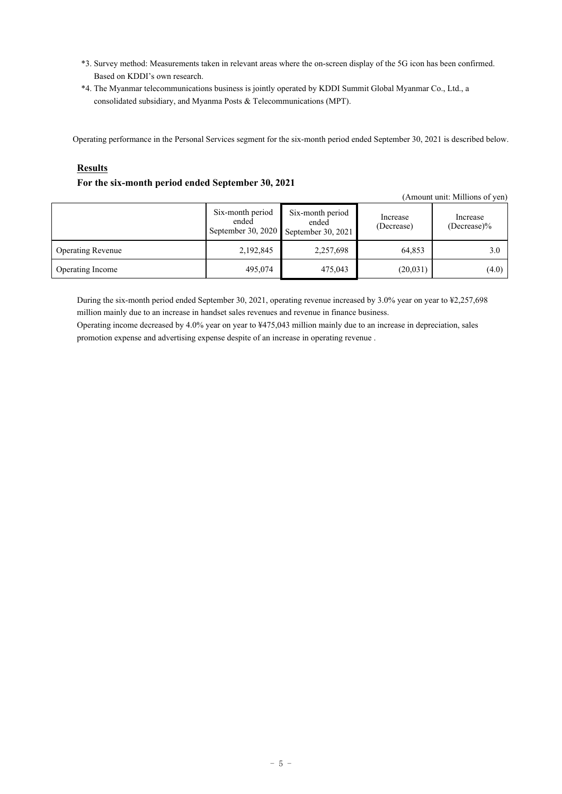- \*3. Survey method: Measurements taken in relevant areas where the on-screen display of the 5G icon has been confirmed. Based on KDDI's own research.
- \*4. The Myanmar telecommunications business is jointly operated by KDDI Summit Global Myanmar Co., Ltd., a consolidated subsidiary, and Myanma Posts & Telecommunications (MPT).

Operating performance in the Personal Services segment for the six-month period ended September 30, 2021 is described below.

#### **Results**

#### **For the six-month period ended September 30, 2021**

| (Amount unit: Millions of yen) |                                                 |                                                 |                        |                            |  |  |
|--------------------------------|-------------------------------------------------|-------------------------------------------------|------------------------|----------------------------|--|--|
|                                | Six-month period<br>ended<br>September 30, 2020 | Six-month period<br>ended<br>September 30, 2021 | Increase<br>(Decrease) | Increase<br>$(Decrease)\%$ |  |  |
| <b>Operating Revenue</b>       | 2,192,845                                       | 2,257,698                                       | 64,853                 | 3.0                        |  |  |
| Operating Income               | 495,074                                         | 475,043                                         | (20,031)               | (4.0)                      |  |  |

During the six-month period ended September 30, 2021, operating revenue increased by 3.0% year on year to ¥2,257,698 million mainly due to an increase in handset sales revenues and revenue in finance business.

Operating income decreased by 4.0% year on year to ¥475,043 million mainly due to an increase in depreciation, sales promotion expense and advertising expense despite of an increase in operating revenue .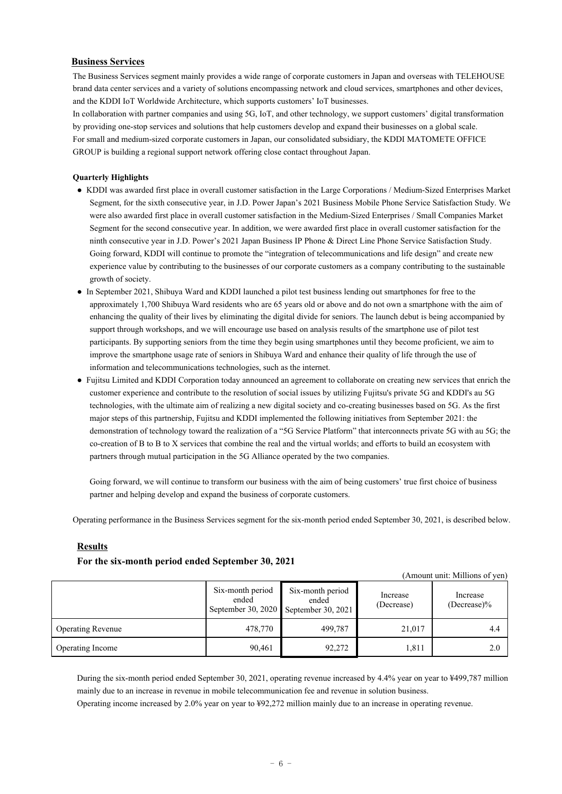#### **Business Services**

The Business Services segment mainly provides a wide range of corporate customers in Japan and overseas with TELEHOUSE brand data center services and a variety of solutions encompassing network and cloud services, smartphones and other devices, and the KDDI IoT Worldwide Architecture, which supports customers' IoT businesses.

In collaboration with partner companies and using 5G, IoT, and other technology, we support customers' digital transformation by providing one-stop services and solutions that help customers develop and expand their businesses on a global scale. For small and medium-sized corporate customers in Japan, our consolidated subsidiary, the KDDI MATOMETE OFFICE GROUP is building a regional support network offering close contact throughout Japan.

#### **Quarterly Highlights**

- KDDI was awarded first place in overall customer satisfaction in the Large Corporations / Medium-Sized Enterprises Market Segment, for the sixth consecutive year, in J.D. Power Japan's 2021 Business Mobile Phone Service Satisfaction Study. We were also awarded first place in overall customer satisfaction in the Medium-Sized Enterprises / Small Companies Market Segment for the second consecutive year. In addition, we were awarded first place in overall customer satisfaction for the ninth consecutive year in J.D. Power's 2021 Japan Business IP Phone & Direct Line Phone Service Satisfaction Study. Going forward, KDDI will continue to promote the "integration of telecommunications and life design" and create new experience value by contributing to the businesses of our corporate customers as a company contributing to the sustainable growth of society.
- In September 2021, Shibuya Ward and KDDI launched a pilot test business lending out smartphones for free to the approximately 1,700 Shibuya Ward residents who are 65 years old or above and do not own a smartphone with the aim of enhancing the quality of their lives by eliminating the digital divide for seniors. The launch debut is being accompanied by support through workshops, and we will encourage use based on analysis results of the smartphone use of pilot test participants. By supporting seniors from the time they begin using smartphones until they become proficient, we aim to improve the smartphone usage rate of seniors in Shibuya Ward and enhance their quality of life through the use of information and telecommunications technologies, such as the internet.
- Fujitsu Limited and KDDI Corporation today announced an agreement to collaborate on creating new services that enrich the customer experience and contribute to the resolution of social issues by utilizing Fujitsu's private 5G and KDDI's au 5G technologies, with the ultimate aim of realizing a new digital society and co-creating businesses based on 5G. As the first major steps of this partnership, Fujitsu and KDDI implemented the following initiatives from September 2021: the demonstration of technology toward the realization of a "5G Service Platform" that interconnects private 5G with au 5G; the co-creation of B to B to X services that combine the real and the virtual worlds; and efforts to build an ecosystem with partners through mutual participation in the 5G Alliance operated by the two companies.

 Going forward, we will continue to transform our business with the aim of being customers' true first choice of business partner and helping develop and expand the business of corporate customers.

Operating performance in the Business Services segment for the six-month period ended September 30, 2021, is described below.

#### **Results**

#### **For the six-month period ended September 30, 2021**

(Amount unit: Millions of yen)

|                          | Six-month period<br>ended | Six-month period<br>ended<br>September 30, 2020 September 30, 2021 | Increase<br>(Decrease) | Increase<br>$(Decrease)\%$ |
|--------------------------|---------------------------|--------------------------------------------------------------------|------------------------|----------------------------|
| <b>Operating Revenue</b> | 478,770                   | 499,787                                                            | 21,017                 | 4.4                        |
| Operating Income         | 90,461                    | 92,272                                                             | 1,811                  | 2.0                        |

During the six-month period ended September 30, 2021, operating revenue increased by 4.4% year on year to ¥499,787 million mainly due to an increase in revenue in mobile telecommunication fee and revenue in solution business.

Operating income increased by 2.0% year on year to ¥92,272 million mainly due to an increase in operating revenue.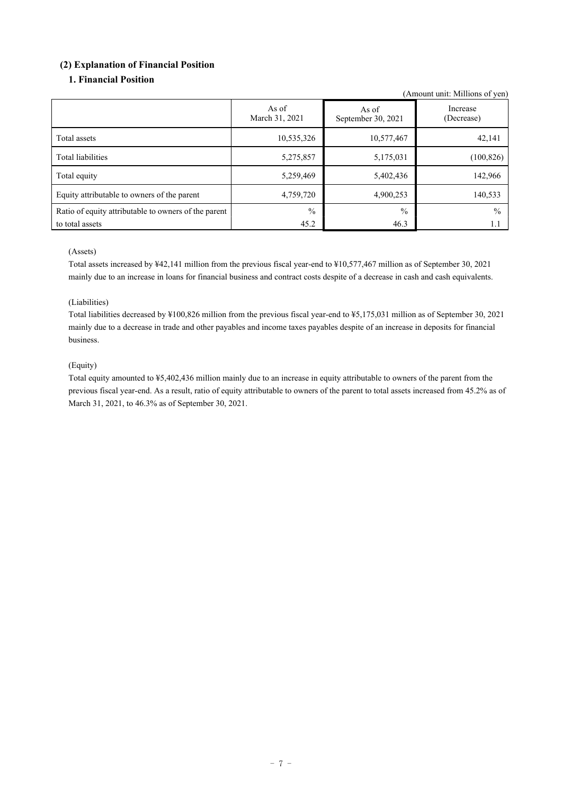### **(2) Explanation of Financial Position**

### **1. Financial Position**

(Amount unit: Millions of yen)

|                                                      | As of<br>March 31, 2021 | As of<br>September 30, 2021 | Increase<br>(Decrease) |
|------------------------------------------------------|-------------------------|-----------------------------|------------------------|
| Total assets                                         | 10,535,326              | 10,577,467                  | 42,141                 |
| Total liabilities                                    | 5,275,857               | 5,175,031                   | (100, 826)             |
| Total equity                                         | 5,259,469               | 5,402,436                   | 142,966                |
| Equity attributable to owners of the parent          | 4,759,720               | 4,900,253                   | 140,533                |
| Ratio of equity attributable to owners of the parent | $\frac{0}{0}$           | $\frac{0}{0}$               | $\frac{0}{0}$          |
| to total assets                                      | 45.2                    | 46.3                        | 1.1                    |

#### (Assets)

Total assets increased by ¥42,141 million from the previous fiscal year-end to ¥10,577,467 million as of September 30, 2021 mainly due to an increase in loans for financial business and contract costs despite of a decrease in cash and cash equivalents.

#### (Liabilities)

Total liabilities decreased by ¥100,826 million from the previous fiscal year-end to ¥5,175,031 million as of September 30, 2021 mainly due to a decrease in trade and other payables and income taxes payables despite of an increase in deposits for financial business.

### (Equity)

Total equity amounted to ¥5,402,436 million mainly due to an increase in equity attributable to owners of the parent from the previous fiscal year-end. As a result, ratio of equity attributable to owners of the parent to total assets increased from 45.2% as of March 31, 2021, to 46.3% as of September 30, 2021.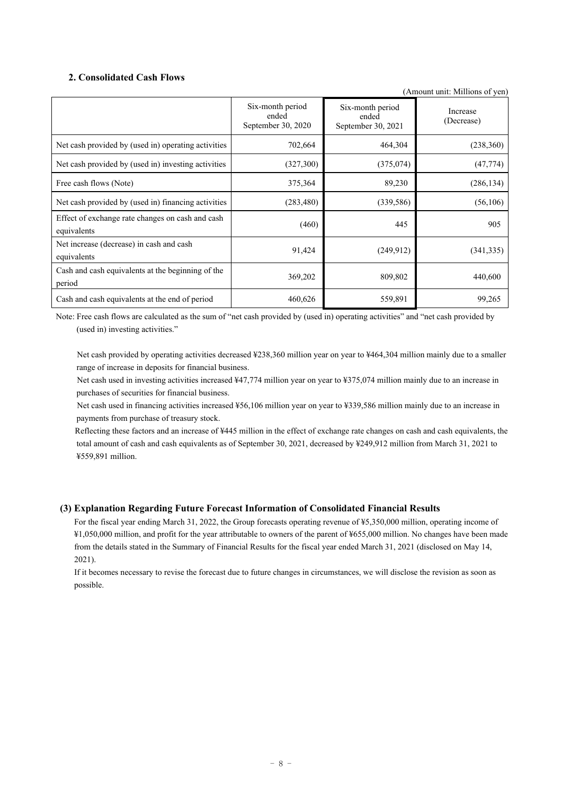### **2. Consolidated Cash Flows**

(Amount unit: Millions of yen)

|                                                                 | Six-month period<br>ended<br>September 30, 2020 | Six-month period<br>ended<br>September 30, 2021 | Increase<br>(Decrease) |
|-----------------------------------------------------------------|-------------------------------------------------|-------------------------------------------------|------------------------|
| Net cash provided by (used in) operating activities             | 702,664                                         | 464,304                                         | (238, 360)             |
| Net cash provided by (used in) investing activities             | (327,300)                                       | (375,074)                                       | (47, 774)              |
| Free cash flows (Note)                                          | 375,364                                         | 89,230                                          | (286, 134)             |
| Net cash provided by (used in) financing activities             | (283, 480)                                      | (339, 586)                                      | (56, 106)              |
| Effect of exchange rate changes on cash and cash<br>equivalents | (460)                                           | 445                                             | 905                    |
| Net increase (decrease) in cash and cash<br>equivalents         | 91,424                                          | (249, 912)                                      | (341, 335)             |
| Cash and cash equivalents at the beginning of the<br>period     | 369,202                                         | 809,802                                         | 440,600                |
| Cash and cash equivalents at the end of period                  | 460,626                                         | 559,891                                         | 99,265                 |

Note: Free cash flows are calculated as the sum of "net cash provided by (used in) operating activities" and "net cash provided by (used in) investing activities."

 Net cash provided by operating activities decreased ¥238,360 million year on year to ¥464,304 million mainly due to a smaller range of increase in deposits for financial business.

Net cash used in investing activities increased ¥47,774 million year on year to ¥375,074 million mainly due to an increase in purchases of securities for financial business.

 Net cash used in financing activities increased ¥56,106 million year on year to ¥339,586 million mainly due to an increase in payments from purchase of treasury stock.

 Reflecting these factors and an increase of ¥445 million in the effect of exchange rate changes on cash and cash equivalents, the total amount of cash and cash equivalents as of September 30, 2021, decreased by ¥249,912 million from March 31, 2021 to ¥559,891 million.

#### **(3) Explanation Regarding Future Forecast Information of Consolidated Financial Results**

For the fiscal year ending March 31, 2022, the Group forecasts operating revenue of ¥5,350,000 million, operating income of ¥1,050,000 million, and profit for the year attributable to owners of the parent of ¥655,000 million. No changes have been made from the details stated in the Summary of Financial Results for the fiscal year ended March 31, 2021 (disclosed on May 14, 2021).

If it becomes necessary to revise the forecast due to future changes in circumstances, we will disclose the revision as soon as possible.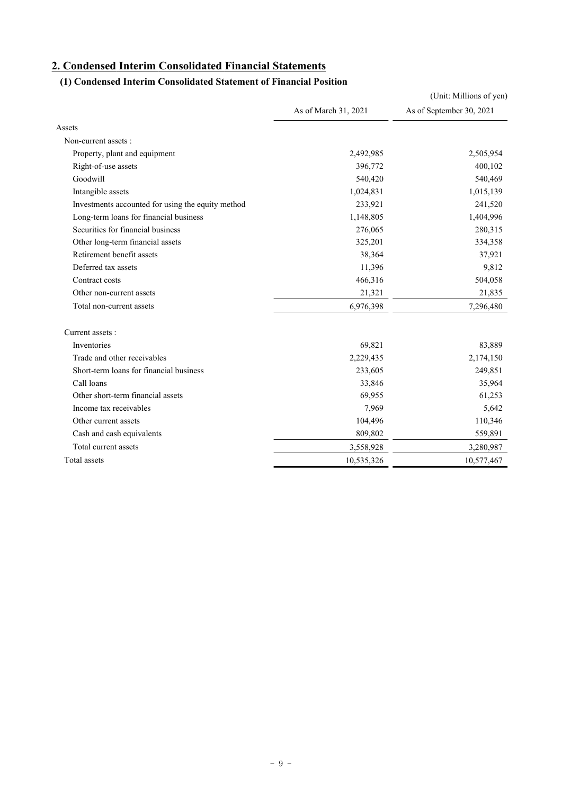# **2. Condensed Interim Consolidated Financial Statements**

## **(1) Condensed Interim Consolidated Statement of Financial Position**

|                                                   |                      | (Unit: Millions of yen)  |
|---------------------------------------------------|----------------------|--------------------------|
|                                                   | As of March 31, 2021 | As of September 30, 2021 |
| Assets                                            |                      |                          |
| Non-current assets :                              |                      |                          |
| Property, plant and equipment                     | 2,492,985            | 2,505,954                |
| Right-of-use assets                               | 396,772              | 400,102                  |
| Goodwill                                          | 540,420              | 540,469                  |
| Intangible assets                                 | 1,024,831            | 1,015,139                |
| Investments accounted for using the equity method | 233,921              | 241,520                  |
| Long-term loans for financial business            | 1,148,805            | 1,404,996                |
| Securities for financial business                 | 276,065              | 280,315                  |
| Other long-term financial assets                  | 325,201              | 334,358                  |
| Retirement benefit assets                         | 38,364               | 37,921                   |
| Deferred tax assets                               | 11,396               | 9,812                    |
| Contract costs                                    | 466,316              | 504,058                  |
| Other non-current assets                          | 21,321               | 21,835                   |
| Total non-current assets                          | 6,976,398            | 7,296,480                |
| Current assets:                                   |                      |                          |
| Inventories                                       | 69,821               | 83,889                   |
| Trade and other receivables                       | 2,229,435            | 2,174,150                |
| Short-term loans for financial business           | 233,605              | 249,851                  |
| Call loans                                        | 33,846               | 35,964                   |
| Other short-term financial assets                 | 69,955               | 61,253                   |
| Income tax receivables                            | 7,969                | 5,642                    |
| Other current assets                              | 104,496              | 110,346                  |
| Cash and cash equivalents                         | 809,802              | 559,891                  |
| Total current assets                              | 3,558,928            | 3,280,987                |
| Total assets                                      | 10,535,326           | 10,577,467               |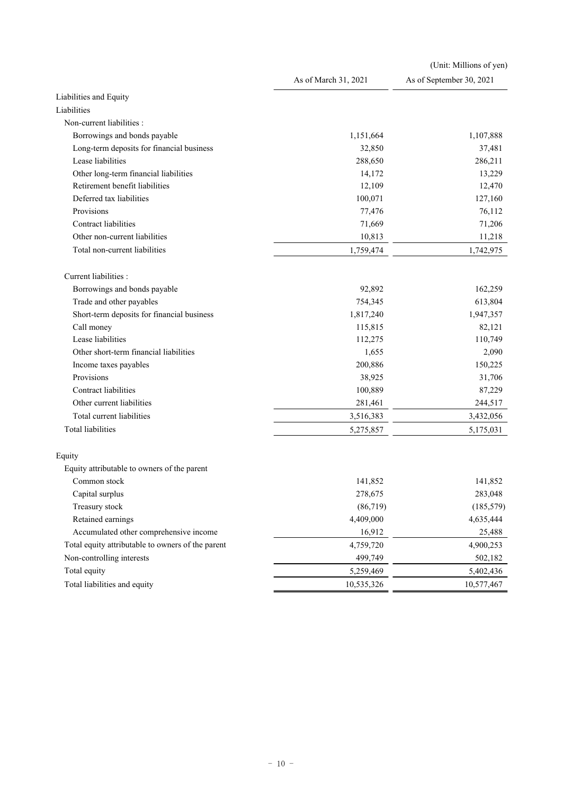|                                                   |                      | (Unit: Millions of yen)  |
|---------------------------------------------------|----------------------|--------------------------|
|                                                   | As of March 31, 2021 | As of September 30, 2021 |
| Liabilities and Equity                            |                      |                          |
| Liabilities                                       |                      |                          |
| Non-current liabilities :                         |                      |                          |
| Borrowings and bonds payable                      | 1,151,664            | 1,107,888                |
| Long-term deposits for financial business         | 32,850               | 37,481                   |
| Lease liabilities                                 | 288,650              | 286,211                  |
| Other long-term financial liabilities             | 14,172               | 13,229                   |
| Retirement benefit liabilities                    | 12,109               | 12,470                   |
| Deferred tax liabilities                          | 100,071              | 127,160                  |
| Provisions                                        | 77,476               | 76,112                   |
| Contract liabilities                              | 71,669               | 71,206                   |
| Other non-current liabilities                     | 10,813               | 11,218                   |
| Total non-current liabilities                     | 1,759,474            | 1,742,975                |
| Current liabilities :                             |                      |                          |
| Borrowings and bonds payable                      | 92,892               | 162,259                  |
| Trade and other payables                          | 754,345              | 613,804                  |
| Short-term deposits for financial business        | 1,817,240            | 1,947,357                |
| Call money                                        | 115,815              | 82,121                   |
| Lease liabilities                                 | 112,275              | 110,749                  |
| Other short-term financial liabilities            | 1,655                | 2,090                    |
| Income taxes payables                             | 200,886              | 150,225                  |
| Provisions                                        | 38,925               | 31,706                   |
| Contract liabilities                              | 100,889              | 87,229                   |
| Other current liabilities                         | 281,461              | 244,517                  |
| Total current liabilities                         | 3,516,383            | 3,432,056                |
| <b>Total liabilities</b>                          | 5,275,857            | 5,175,031                |
| Equity                                            |                      |                          |
| Equity attributable to owners of the parent       |                      |                          |
| Common stock                                      | 141,852              | 141,852                  |
| Capital surplus                                   | 278,675              | 283,048                  |
| Treasury stock                                    | (86, 719)            | (185, 579)               |
| Retained earnings                                 | 4,409,000            | 4,635,444                |
| Accumulated other comprehensive income            | 16,912               | 25,488                   |
| Total equity attributable to owners of the parent | 4,759,720            | 4,900,253                |
| Non-controlling interests                         | 499,749              | 502,182                  |
| Total equity                                      | 5,259,469            | 5,402,436                |
| Total liabilities and equity                      | 10,535,326           | 10,577,467               |
|                                                   |                      |                          |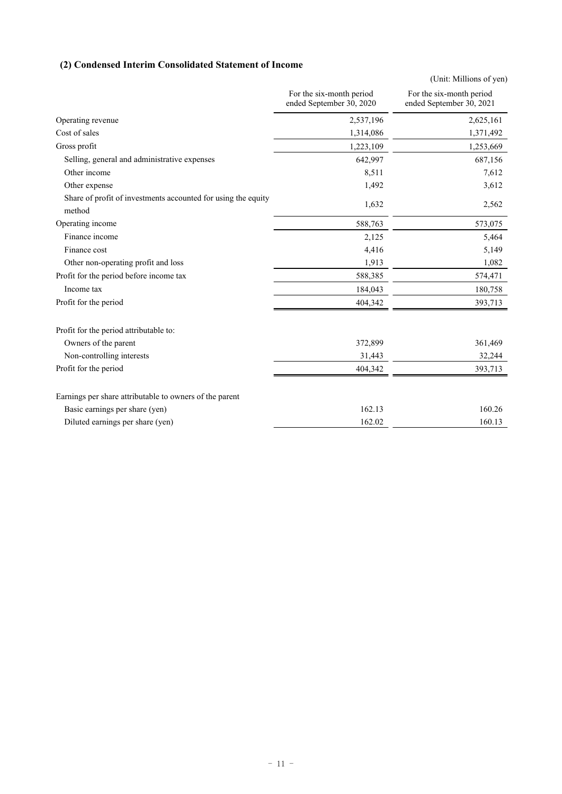### **(2) Condensed Interim Consolidated Statement of Income**

|                                                                         |                                                      | (Unit: Millions of yen)                              |
|-------------------------------------------------------------------------|------------------------------------------------------|------------------------------------------------------|
|                                                                         | For the six-month period<br>ended September 30, 2020 | For the six-month period<br>ended September 30, 2021 |
| Operating revenue                                                       | 2,537,196                                            | 2,625,161                                            |
| Cost of sales                                                           | 1,314,086                                            | 1,371,492                                            |
| Gross profit                                                            | 1,223,109                                            | 1,253,669                                            |
| Selling, general and administrative expenses                            | 642,997                                              | 687,156                                              |
| Other income                                                            | 8,511                                                | 7,612                                                |
| Other expense                                                           | 1,492                                                | 3,612                                                |
| Share of profit of investments accounted for using the equity<br>method | 1,632                                                | 2,562                                                |
| Operating income                                                        | 588,763                                              | 573,075                                              |
| Finance income                                                          | 2,125                                                | 5,464                                                |
| Finance cost                                                            | 4,416                                                | 5,149                                                |
| Other non-operating profit and loss                                     | 1,913                                                | 1,082                                                |
| Profit for the period before income tax                                 | 588,385                                              | 574,471                                              |
| Income tax                                                              | 184,043                                              | 180,758                                              |
| Profit for the period                                                   | 404,342                                              | 393,713                                              |
| Profit for the period attributable to:                                  |                                                      |                                                      |
| Owners of the parent                                                    | 372,899                                              | 361,469                                              |
| Non-controlling interests                                               | 31,443                                               | 32,244                                               |
| Profit for the period                                                   | 404,342                                              | 393,713                                              |
| Earnings per share attributable to owners of the parent                 |                                                      |                                                      |
| Basic earnings per share (yen)                                          | 162.13                                               | 160.26                                               |
| Diluted earnings per share (yen)                                        | 162.02                                               | 160.13                                               |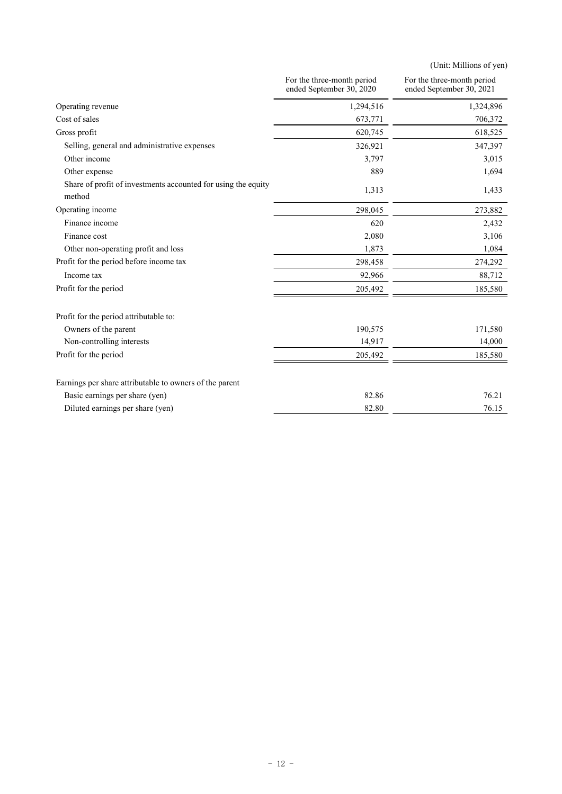(Unit: Millions of yen)

|                                                                         | For the three-month period<br>ended September 30, 2020 | For the three-month period<br>ended September 30, 2021 |
|-------------------------------------------------------------------------|--------------------------------------------------------|--------------------------------------------------------|
| Operating revenue                                                       | 1,294,516                                              | 1,324,896                                              |
| Cost of sales                                                           | 673,771                                                | 706,372                                                |
| Gross profit                                                            | 620,745                                                | 618,525                                                |
| Selling, general and administrative expenses                            | 326,921                                                | 347,397                                                |
| Other income                                                            | 3,797                                                  | 3,015                                                  |
| Other expense                                                           | 889                                                    | 1,694                                                  |
| Share of profit of investments accounted for using the equity<br>method | 1,313                                                  | 1,433                                                  |
| Operating income                                                        | 298,045                                                | 273,882                                                |
| Finance income                                                          | 620                                                    | 2,432                                                  |
| Finance cost                                                            | 2,080                                                  | 3,106                                                  |
| Other non-operating profit and loss                                     | 1,873                                                  | 1,084                                                  |
| Profit for the period before income tax                                 | 298,458                                                | 274,292                                                |
| Income tax                                                              | 92,966                                                 | 88,712                                                 |
| Profit for the period                                                   | 205,492                                                | 185,580                                                |
| Profit for the period attributable to:                                  |                                                        |                                                        |
| Owners of the parent                                                    | 190,575                                                | 171,580                                                |
| Non-controlling interests                                               | 14,917                                                 | 14,000                                                 |
| Profit for the period                                                   | 205,492                                                | 185,580                                                |
| Earnings per share attributable to owners of the parent                 |                                                        |                                                        |
| Basic earnings per share (yen)                                          | 82.86                                                  | 76.21                                                  |
| Diluted earnings per share (yen)                                        | 82.80                                                  | 76.15                                                  |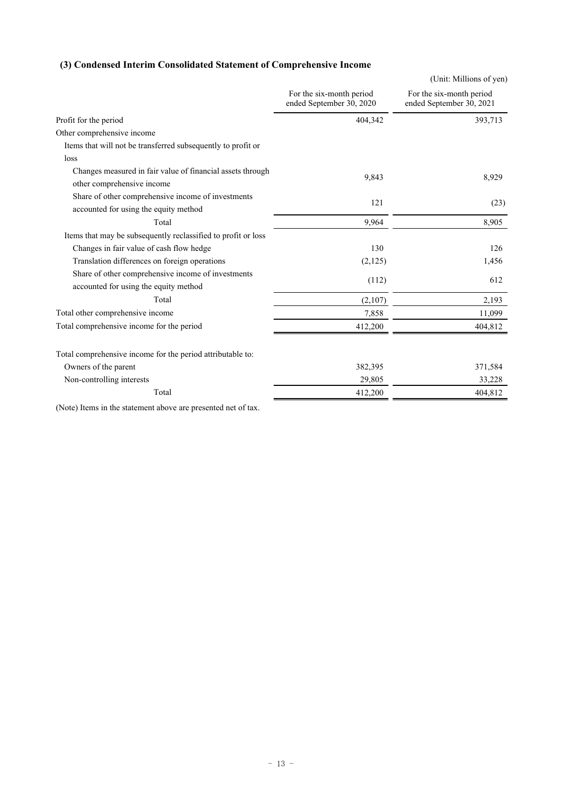### **(3) Condensed Interim Consolidated Statement of Comprehensive Income**

| For the six-month period<br>For the six-month period<br>ended September 30, 2020<br>ended September 30, 2021<br>404,342<br>393,713<br>Other comprehensive income<br>Items that will not be transferred subsequently to profit or<br>loss<br>Changes measured in fair value of financial assets through<br>9,843<br>8,929<br>other comprehensive income<br>Share of other comprehensive income of investments<br>121<br>(23)<br>accounted for using the equity method<br>Total<br>9,964<br>8,905<br>Items that may be subsequently reclassified to profit or loss<br>130<br>Changes in fair value of cash flow hedge<br>126<br>Translation differences on foreign operations<br>1,456<br>(2,125)<br>Share of other comprehensive income of investments<br>612<br>(112)<br>accounted for using the equity method<br>Total<br>2,193<br>(2,107)<br>Total other comprehensive income<br>11,099<br>7,858<br>Total comprehensive income for the period<br>404,812<br>412,200<br>Total comprehensive income for the period attributable to:<br>Owners of the parent<br>382,395<br>371,584<br>Non-controlling interests<br>29,805<br>33,228<br>Total<br>412,200<br>404,812 |                       | (Unit: Millions of yen) |
|-------------------------------------------------------------------------------------------------------------------------------------------------------------------------------------------------------------------------------------------------------------------------------------------------------------------------------------------------------------------------------------------------------------------------------------------------------------------------------------------------------------------------------------------------------------------------------------------------------------------------------------------------------------------------------------------------------------------------------------------------------------------------------------------------------------------------------------------------------------------------------------------------------------------------------------------------------------------------------------------------------------------------------------------------------------------------------------------------------------------------------------------------------------------|-----------------------|-------------------------|
|                                                                                                                                                                                                                                                                                                                                                                                                                                                                                                                                                                                                                                                                                                                                                                                                                                                                                                                                                                                                                                                                                                                                                                   |                       |                         |
|                                                                                                                                                                                                                                                                                                                                                                                                                                                                                                                                                                                                                                                                                                                                                                                                                                                                                                                                                                                                                                                                                                                                                                   | Profit for the period |                         |
|                                                                                                                                                                                                                                                                                                                                                                                                                                                                                                                                                                                                                                                                                                                                                                                                                                                                                                                                                                                                                                                                                                                                                                   |                       |                         |
|                                                                                                                                                                                                                                                                                                                                                                                                                                                                                                                                                                                                                                                                                                                                                                                                                                                                                                                                                                                                                                                                                                                                                                   |                       |                         |
|                                                                                                                                                                                                                                                                                                                                                                                                                                                                                                                                                                                                                                                                                                                                                                                                                                                                                                                                                                                                                                                                                                                                                                   |                       |                         |
|                                                                                                                                                                                                                                                                                                                                                                                                                                                                                                                                                                                                                                                                                                                                                                                                                                                                                                                                                                                                                                                                                                                                                                   |                       |                         |
|                                                                                                                                                                                                                                                                                                                                                                                                                                                                                                                                                                                                                                                                                                                                                                                                                                                                                                                                                                                                                                                                                                                                                                   |                       |                         |
|                                                                                                                                                                                                                                                                                                                                                                                                                                                                                                                                                                                                                                                                                                                                                                                                                                                                                                                                                                                                                                                                                                                                                                   |                       |                         |
|                                                                                                                                                                                                                                                                                                                                                                                                                                                                                                                                                                                                                                                                                                                                                                                                                                                                                                                                                                                                                                                                                                                                                                   |                       |                         |
|                                                                                                                                                                                                                                                                                                                                                                                                                                                                                                                                                                                                                                                                                                                                                                                                                                                                                                                                                                                                                                                                                                                                                                   |                       |                         |
|                                                                                                                                                                                                                                                                                                                                                                                                                                                                                                                                                                                                                                                                                                                                                                                                                                                                                                                                                                                                                                                                                                                                                                   |                       |                         |
|                                                                                                                                                                                                                                                                                                                                                                                                                                                                                                                                                                                                                                                                                                                                                                                                                                                                                                                                                                                                                                                                                                                                                                   |                       |                         |
|                                                                                                                                                                                                                                                                                                                                                                                                                                                                                                                                                                                                                                                                                                                                                                                                                                                                                                                                                                                                                                                                                                                                                                   |                       |                         |
|                                                                                                                                                                                                                                                                                                                                                                                                                                                                                                                                                                                                                                                                                                                                                                                                                                                                                                                                                                                                                                                                                                                                                                   |                       |                         |
|                                                                                                                                                                                                                                                                                                                                                                                                                                                                                                                                                                                                                                                                                                                                                                                                                                                                                                                                                                                                                                                                                                                                                                   |                       |                         |
|                                                                                                                                                                                                                                                                                                                                                                                                                                                                                                                                                                                                                                                                                                                                                                                                                                                                                                                                                                                                                                                                                                                                                                   |                       |                         |
|                                                                                                                                                                                                                                                                                                                                                                                                                                                                                                                                                                                                                                                                                                                                                                                                                                                                                                                                                                                                                                                                                                                                                                   |                       |                         |
|                                                                                                                                                                                                                                                                                                                                                                                                                                                                                                                                                                                                                                                                                                                                                                                                                                                                                                                                                                                                                                                                                                                                                                   |                       |                         |
|                                                                                                                                                                                                                                                                                                                                                                                                                                                                                                                                                                                                                                                                                                                                                                                                                                                                                                                                                                                                                                                                                                                                                                   |                       |                         |

(Note) Items in the statement above are presented net of tax.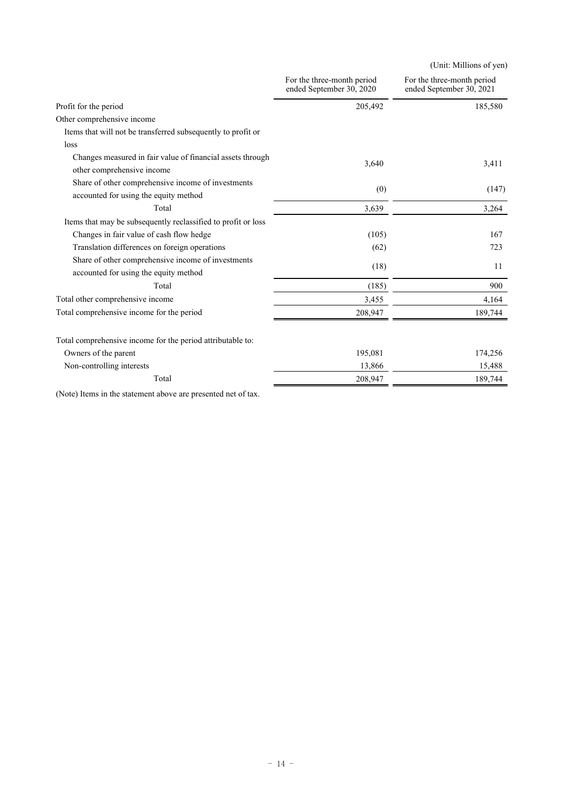|                                                               |                                                        | (Unit: Millions of yen)                                |
|---------------------------------------------------------------|--------------------------------------------------------|--------------------------------------------------------|
|                                                               | For the three-month period<br>ended September 30, 2020 | For the three-month period<br>ended September 30, 2021 |
| Profit for the period                                         | 205,492                                                | 185,580                                                |
| Other comprehensive income                                    |                                                        |                                                        |
| Items that will not be transferred subsequently to profit or  |                                                        |                                                        |
| loss                                                          |                                                        |                                                        |
| Changes measured in fair value of financial assets through    | 3,640                                                  | 3,411                                                  |
| other comprehensive income                                    |                                                        |                                                        |
| Share of other comprehensive income of investments            | (0)                                                    | (147)                                                  |
| accounted for using the equity method                         |                                                        |                                                        |
| Total                                                         | 3,639                                                  | 3,264                                                  |
| Items that may be subsequently reclassified to profit or loss |                                                        |                                                        |
| Changes in fair value of cash flow hedge                      | (105)                                                  | 167                                                    |
| Translation differences on foreign operations                 | (62)                                                   | 723                                                    |
| Share of other comprehensive income of investments            |                                                        | 11                                                     |
| accounted for using the equity method                         | (18)                                                   |                                                        |
| Total                                                         | (185)                                                  | 900                                                    |
| Total other comprehensive income                              | 3,455                                                  | 4,164                                                  |
| Total comprehensive income for the period                     | 208,947                                                | 189,744                                                |
| Total comprehensive income for the period attributable to:    |                                                        |                                                        |
| Owners of the parent                                          | 195,081                                                | 174,256                                                |
| Non-controlling interests                                     | 13,866                                                 | 15,488                                                 |
| Total                                                         | 208,947                                                | 189,744                                                |
|                                                               |                                                        |                                                        |

(Note) Items in the statement above are presented net of tax.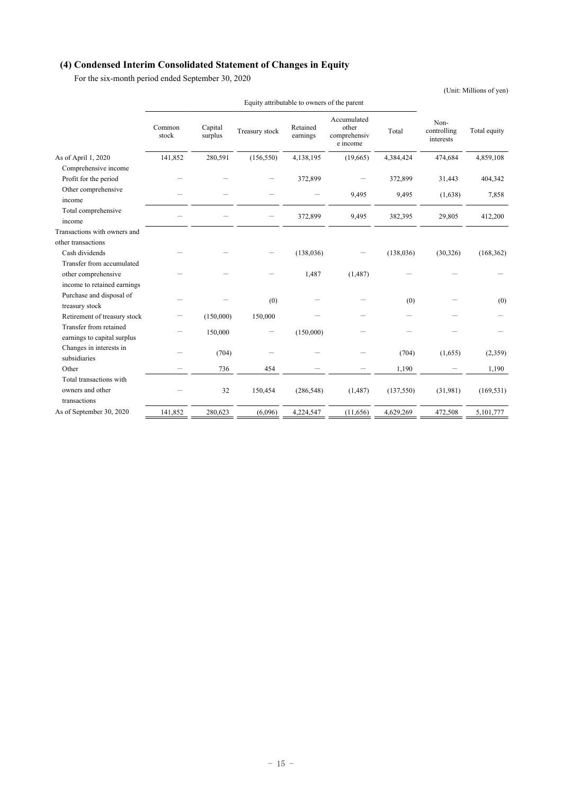### **(4) Condensed Interim Consolidated Statement of Changes in Equity**

For the six-month period ended September 30, 2020

(Unit: Millions of yen)

|                                                       | Common<br>stock | Capital<br>surplus | Treasury stock | Retained<br>earnings | Accumulated<br>other<br>comprehensiv<br>e income | Total      | Non-<br>controlling<br>interests | Total equity |
|-------------------------------------------------------|-----------------|--------------------|----------------|----------------------|--------------------------------------------------|------------|----------------------------------|--------------|
| As of April 1, 2020                                   | 141,852         | 280,591            | (156, 550)     | 4,138,195            | (19,665)                                         | 4,384,424  | 474,684                          | 4,859,108    |
| Comprehensive income                                  |                 |                    |                |                      |                                                  |            |                                  |              |
| Profit for the period                                 |                 |                    |                | 372,899              |                                                  | 372,899    | 31,443                           | 404,342      |
| Other comprehensive<br>income                         |                 |                    |                |                      | 9,495                                            | 9,495      | (1,638)                          | 7,858        |
| Total comprehensive<br>income                         |                 |                    |                | 372,899              | 9,495                                            | 382,395    | 29,805                           | 412,200      |
| Transactions with owners and                          |                 |                    |                |                      |                                                  |            |                                  |              |
| other transactions                                    |                 |                    |                |                      |                                                  |            |                                  |              |
| Cash dividends                                        |                 |                    |                | (138, 036)           |                                                  | (138, 036) | (30, 326)                        | (168, 362)   |
| Transfer from accumulated                             |                 |                    |                |                      |                                                  |            |                                  |              |
| other comprehensive                                   |                 |                    |                | 1,487                | (1, 487)                                         |            |                                  |              |
| income to retained earnings                           |                 |                    |                |                      |                                                  |            |                                  |              |
| Purchase and disposal of<br>treasury stock            |                 |                    | (0)            |                      |                                                  | (0)        |                                  | (0)          |
| Retirement of treasury stock                          |                 | (150,000)          | 150,000        |                      |                                                  |            |                                  |              |
| Transfer from retained<br>earnings to capital surplus |                 | 150,000            |                | (150,000)            |                                                  |            |                                  |              |
| Changes in interests in<br>subsidiaries               |                 | (704)              |                |                      |                                                  | (704)      | (1,655)                          | (2,359)      |
| Other                                                 |                 | 736                | 454            |                      |                                                  | 1,190      |                                  | 1,190        |
| Total transactions with                               |                 |                    |                |                      |                                                  |            |                                  |              |
| owners and other<br>transactions                      |                 | 32                 | 150,454        | (286, 548)           | (1,487)                                          | (137, 550) | (31,981)                         | (169, 531)   |
| As of September 30, 2020                              | 141,852         | 280,623            | (6,096)        | 4,224,547            | (11,656)                                         | 4,629,269  | 472,508                          | 5,101,777    |

Equity attributable to owners of the parent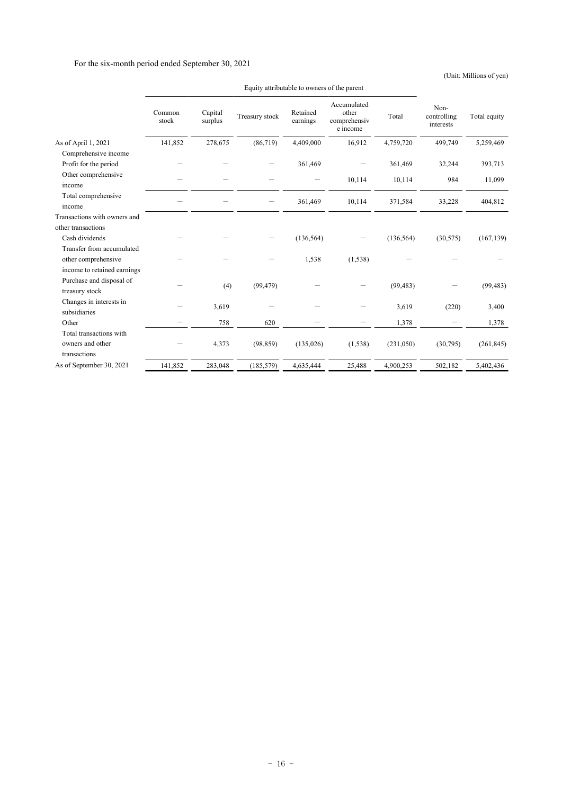#### For the six-month period ended September 30, 2021

(Unit: Millions of yen)

|                                            | Common<br>stock | Capital<br>surplus | Treasury stock | Retained<br>earnings | Accumulated<br>other<br>comprehensiv<br>e income | Total      | Non-<br>controlling<br>interests | Total equity |
|--------------------------------------------|-----------------|--------------------|----------------|----------------------|--------------------------------------------------|------------|----------------------------------|--------------|
| As of April 1, 2021                        | 141,852         | 278,675            | (86, 719)      | 4,409,000            | 16,912                                           | 4,759,720  | 499,749                          | 5,259,469    |
| Comprehensive income                       |                 |                    |                |                      |                                                  |            |                                  |              |
| Profit for the period                      |                 |                    |                | 361,469              |                                                  | 361,469    | 32,244                           | 393,713      |
| Other comprehensive<br>income              |                 |                    |                |                      | 10,114                                           | 10,114     | 984                              | 11,099       |
| Total comprehensive<br>income              |                 |                    |                | 361,469              | 10,114                                           | 371,584    | 33,228                           | 404,812      |
| Transactions with owners and               |                 |                    |                |                      |                                                  |            |                                  |              |
| other transactions                         |                 |                    |                |                      |                                                  |            |                                  |              |
| Cash dividends                             |                 |                    |                | (136, 564)           |                                                  | (136, 564) | (30, 575)                        | (167, 139)   |
| Transfer from accumulated                  |                 |                    |                |                      |                                                  |            |                                  |              |
| other comprehensive                        |                 |                    |                | 1,538                | (1, 538)                                         |            |                                  |              |
| income to retained earnings                |                 |                    |                |                      |                                                  |            |                                  |              |
| Purchase and disposal of<br>treasury stock |                 | (4)                | (99, 479)      |                      |                                                  | (99, 483)  |                                  | (99, 483)    |
| Changes in interests in<br>subsidiaries    |                 | 3,619              |                |                      |                                                  | 3,619      | (220)                            | 3,400        |
| Other                                      |                 | 758                | 620            |                      |                                                  | 1,378      |                                  | 1,378        |
| Total transactions with                    |                 |                    |                |                      |                                                  |            |                                  |              |
| owners and other                           |                 | 4,373              | (98, 859)      | (135, 026)           | (1, 538)                                         | (231,050)  | (30,795)                         | (261, 845)   |
| transactions                               |                 |                    |                |                      |                                                  |            |                                  |              |
| As of September 30, 2021                   | 141,852         | 283,048            | (185, 579)     | 4,635,444            | 25,488                                           | 4,900,253  | 502,182                          | 5,402,436    |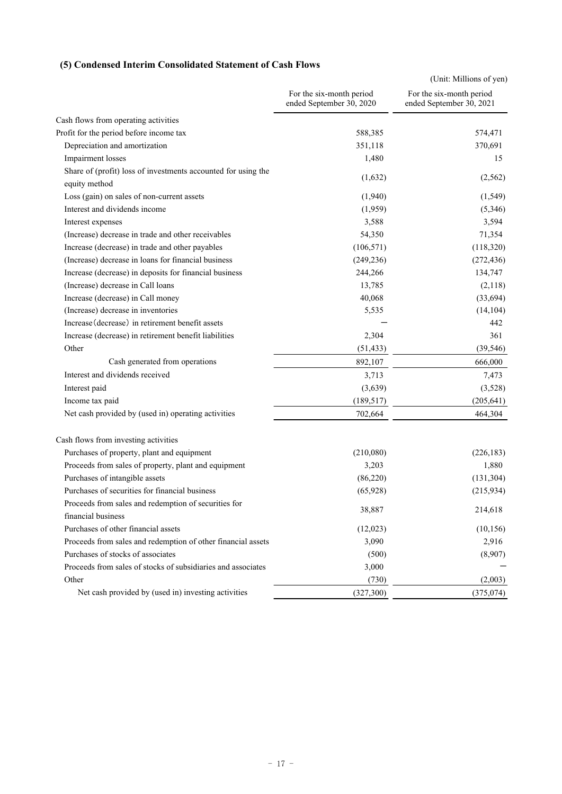### **(5) Condensed Interim Consolidated Statement of Cash Flows**

|                                                               |                                                      | (Unit: Millions of yen)                              |
|---------------------------------------------------------------|------------------------------------------------------|------------------------------------------------------|
|                                                               | For the six-month period<br>ended September 30, 2020 | For the six-month period<br>ended September 30, 2021 |
| Cash flows from operating activities                          |                                                      |                                                      |
| Profit for the period before income tax                       | 588,385                                              | 574,471                                              |
| Depreciation and amortization                                 | 351,118                                              | 370,691                                              |
| Impairment losses                                             | 1,480                                                | 15                                                   |
| Share of (profit) loss of investments accounted for using the |                                                      |                                                      |
| equity method                                                 | (1,632)                                              | (2, 562)                                             |
| Loss (gain) on sales of non-current assets                    | (1,940)                                              | (1, 549)                                             |
| Interest and dividends income                                 | (1,959)                                              | (5,346)                                              |
| Interest expenses                                             | 3,588                                                | 3,594                                                |
| (Increase) decrease in trade and other receivables            | 54,350                                               | 71,354                                               |
| Increase (decrease) in trade and other payables               | (106, 571)                                           | (118,320)                                            |
| (Increase) decrease in loans for financial business           | (249, 236)                                           | (272, 436)                                           |
| Increase (decrease) in deposits for financial business        | 244,266                                              | 134,747                                              |
| (Increase) decrease in Call loans                             | 13,785                                               | (2,118)                                              |
| Increase (decrease) in Call money                             | 40,068                                               | (33, 694)                                            |
| (Increase) decrease in inventories                            | 5,535                                                | (14, 104)                                            |
| Increase (decrease) in retirement benefit assets              |                                                      | 442                                                  |
| Increase (decrease) in retirement benefit liabilities         | 2,304                                                | 361                                                  |
| Other                                                         | (51, 433)                                            | (39, 546)                                            |
| Cash generated from operations                                | 892,107                                              | 666,000                                              |
| Interest and dividends received                               | 3,713                                                | 7,473                                                |
| Interest paid                                                 | (3,639)                                              | (3,528)                                              |
| Income tax paid                                               | (189, 517)                                           | (205, 641)                                           |
| Net cash provided by (used in) operating activities           | 702,664                                              | 464,304                                              |
| Cash flows from investing activities                          |                                                      |                                                      |
| Purchases of property, plant and equipment                    | (210,080)                                            | (226, 183)                                           |
| Proceeds from sales of property, plant and equipment          | 3,203                                                | 1,880                                                |
| Purchases of intangible assets                                | (86,220)                                             | (131, 304)                                           |
| Purchases of securities for financial business                | (65, 928)                                            | (215,934)                                            |
| Proceeds from sales and redemption of securities for          |                                                      |                                                      |
| financial business                                            | 38,887                                               | 214,618                                              |
| Purchases of other financial assets                           | (12,023)                                             | (10, 156)                                            |
| Proceeds from sales and redemption of other financial assets  | 3,090                                                | 2,916                                                |
| Purchases of stocks of associates                             | (500)                                                | (8,907)                                              |
| Proceeds from sales of stocks of subsidiaries and associates  | 3,000                                                |                                                      |
| Other                                                         | (730)                                                | (2,003)                                              |
| Net cash provided by (used in) investing activities           | (327, 300)                                           | (375, 074)                                           |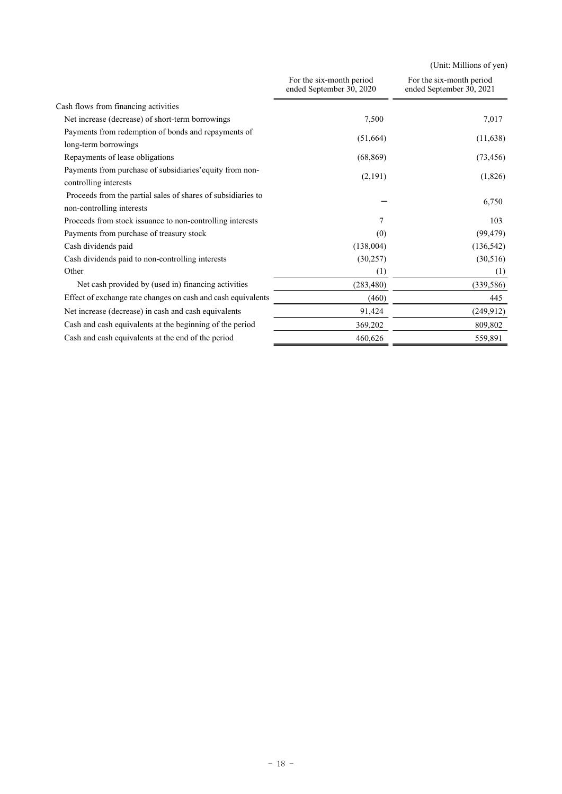(Unit: Millions of yen)

|                                                                                           | For the six-month period<br>ended September 30, 2020 | For the six-month period<br>ended September 30, 2021 |  |
|-------------------------------------------------------------------------------------------|------------------------------------------------------|------------------------------------------------------|--|
| Cash flows from financing activities                                                      |                                                      |                                                      |  |
| Net increase (decrease) of short-term borrowings                                          | 7,500                                                | 7,017                                                |  |
| Payments from redemption of bonds and repayments of                                       |                                                      |                                                      |  |
| long-term borrowings                                                                      | (51,664)                                             | (11,638)                                             |  |
| Repayments of lease obligations                                                           | (68, 869)                                            | (73, 456)                                            |  |
| Payments from purchase of subsidiaries' equity from non-<br>controlling interests         | (2,191)                                              | (1,826)                                              |  |
| Proceeds from the partial sales of shares of subsidiaries to<br>non-controlling interests |                                                      | 6,750                                                |  |
| Proceeds from stock issuance to non-controlling interests                                 | 7                                                    | 103                                                  |  |
| Payments from purchase of treasury stock                                                  | (0)                                                  | (99, 479)                                            |  |
| Cash dividends paid                                                                       | (138,004)                                            | (136, 542)                                           |  |
| Cash dividends paid to non-controlling interests                                          | (30, 257)                                            | (30,516)                                             |  |
| Other                                                                                     | (1)                                                  | (1)                                                  |  |
| Net cash provided by (used in) financing activities                                       | (283, 480)                                           | (339, 586)                                           |  |
| Effect of exchange rate changes on cash and cash equivalents                              | (460)                                                | 445                                                  |  |
| Net increase (decrease) in cash and cash equivalents                                      | 91,424                                               | (249, 912)                                           |  |
| Cash and cash equivalents at the beginning of the period                                  | 369,202                                              | 809,802                                              |  |
| Cash and cash equivalents at the end of the period                                        | 460,626                                              | 559,891                                              |  |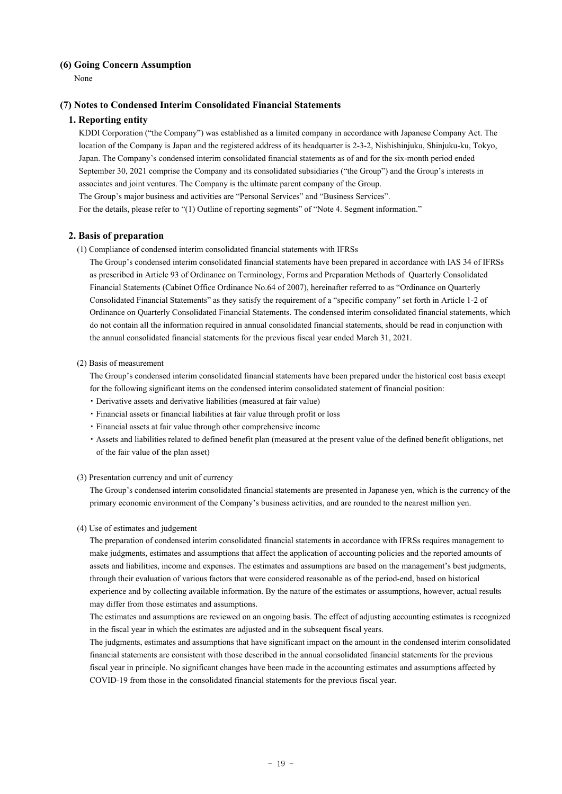#### **(6) Going Concern Assumption**

None

#### **(7) Notes to Condensed Interim Consolidated Financial Statements**

#### **1. Reporting entity**

KDDI Corporation ("the Company") was established as a limited company in accordance with Japanese Company Act. The location of the Company is Japan and the registered address of its headquarter is 2-3-2, Nishishinjuku, Shinjuku-ku, Tokyo, Japan. The Company's condensed interim consolidated financial statements as of and for the six-month period ended September 30, 2021 comprise the Company and its consolidated subsidiaries ("the Group") and the Group's interests in associates and joint ventures. The Company is the ultimate parent company of the Group. The Group's major business and activities are "Personal Services" and "Business Services". For the details, please refer to "(1) Outline of reporting segments" of "Note 4. Segment information."

#### **2. Basis of preparation**

(1) Compliance of condensed interim consolidated financial statements with IFRSs

The Group's condensed interim consolidated financial statements have been prepared in accordance with IAS 34 of IFRSs as prescribed in Article 93 of Ordinance on Terminology, Forms and Preparation Methods of Quarterly Consolidated Financial Statements (Cabinet Office Ordinance No.64 of 2007), hereinafter referred to as "Ordinance on Quarterly Consolidated Financial Statements" as they satisfy the requirement of a "specific company" set forth in Article 1-2 of Ordinance on Quarterly Consolidated Financial Statements. The condensed interim consolidated financial statements, which do not contain all the information required in annual consolidated financial statements, should be read in conjunction with the annual consolidated financial statements for the previous fiscal year ended March 31, 2021.

#### (2) Basis of measurement

The Group's condensed interim consolidated financial statements have been prepared under the historical cost basis except for the following significant items on the condensed interim consolidated statement of financial position:

- ・ Derivative assets and derivative liabilities (measured at fair value)
- ・ Financial assets or financial liabilities at fair value through profit or loss
- ・ Financial assets at fair value through other comprehensive income
- ・ Assets and liabilities related to defined benefit plan (measured at the present value of the defined benefit obligations, net of the fair value of the plan asset)

#### (3) Presentation currency and unit of currency

The Group's condensed interim consolidated financial statements are presented in Japanese yen, which is the currency of the primary economic environment of the Company's business activities, and are rounded to the nearest million yen.

#### (4) Use of estimates and judgement

The preparation of condensed interim consolidated financial statements in accordance with IFRSs requires management to make judgments, estimates and assumptions that affect the application of accounting policies and the reported amounts of assets and liabilities, income and expenses. The estimates and assumptions are based on the management's best judgments, through their evaluation of various factors that were considered reasonable as of the period-end, based on historical experience and by collecting available information. By the nature of the estimates or assumptions, however, actual results may differ from those estimates and assumptions.

The estimates and assumptions are reviewed on an ongoing basis. The effect of adjusting accounting estimates is recognized in the fiscal year in which the estimates are adjusted and in the subsequent fiscal years.

The judgments, estimates and assumptions that have significant impact on the amount in the condensed interim consolidated financial statements are consistent with those described in the annual consolidated financial statements for the previous fiscal year in principle. No significant changes have been made in the accounting estimates and assumptions affected by COVID-19 from those in the consolidated financial statements for the previous fiscal year.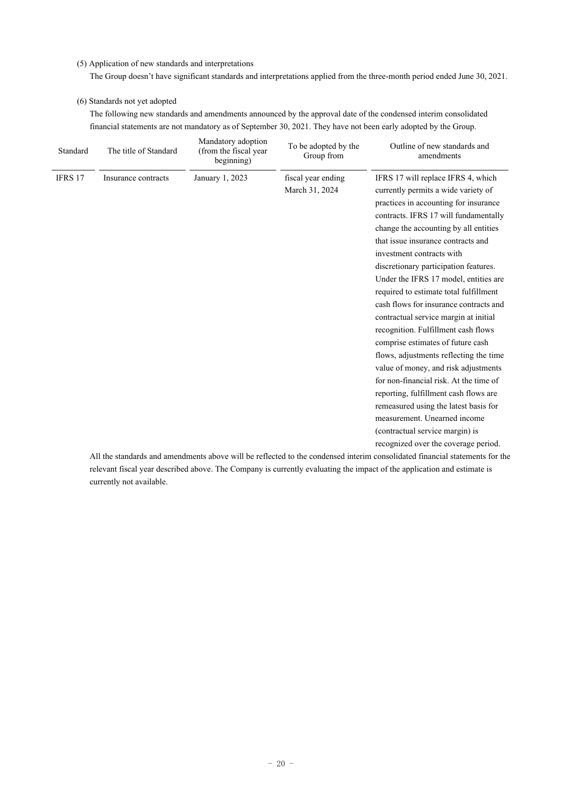#### (5) Application of new standards and interpretations

The Group doesn't have significant standards and interpretations applied from the three-month period ended June 30, 2021.

#### (6) Standards not yet adopted

The following new standards and amendments announced by the approval date of the condensed interim consolidated financial statements are not mandatory as of September 30, 2021. They have not been early adopted by the Group.

| Standard | The title of Standard | Mandatory adoption<br>(from the fiscal year<br>beginning) | To be adopted by the<br>Group from | Outline of new standards and<br>amendments                                                                                  |
|----------|-----------------------|-----------------------------------------------------------|------------------------------------|-----------------------------------------------------------------------------------------------------------------------------|
| IFRS 17  | Insurance contracts   | January 1, 2023                                           | fiscal year ending                 | IFRS 17 will replace IFRS 4, which                                                                                          |
|          |                       |                                                           | March 31, 2024                     | currently permits a wide variety of                                                                                         |
|          |                       |                                                           |                                    | practices in accounting for insurance                                                                                       |
|          |                       |                                                           |                                    | contracts. IFRS 17 will fundamentally                                                                                       |
|          |                       |                                                           |                                    | change the accounting by all entities                                                                                       |
|          |                       |                                                           |                                    | that issue insurance contracts and                                                                                          |
|          |                       |                                                           |                                    | investment contracts with                                                                                                   |
|          |                       |                                                           |                                    | discretionary participation features.                                                                                       |
|          |                       |                                                           |                                    | Under the IFRS 17 model, entities are                                                                                       |
|          |                       |                                                           |                                    | required to estimate total fulfillment                                                                                      |
|          |                       |                                                           |                                    | cash flows for insurance contracts and                                                                                      |
|          |                       |                                                           |                                    | contractual service margin at initial                                                                                       |
|          |                       |                                                           |                                    | recognition. Fulfillment cash flows                                                                                         |
|          |                       |                                                           |                                    | comprise estimates of future cash                                                                                           |
|          |                       |                                                           |                                    | flows, adjustments reflecting the time                                                                                      |
|          |                       |                                                           |                                    | value of money, and risk adjustments                                                                                        |
|          |                       |                                                           |                                    | for non-financial risk. At the time of                                                                                      |
|          |                       |                                                           |                                    | reporting, fulfillment cash flows are                                                                                       |
|          |                       |                                                           |                                    | remeasured using the latest basis for                                                                                       |
|          |                       |                                                           |                                    | measurement. Unearned income                                                                                                |
|          |                       |                                                           |                                    | (contractual service margin) is                                                                                             |
|          |                       |                                                           |                                    | recognized over the coverage period.                                                                                        |
|          |                       |                                                           |                                    | All the standards and emendments shows will be reflected to the condensed interim consolidated financial statements for the |

All the standards and amendments above will be reflected to the condensed interim consolidated financial statements for the relevant fiscal year described above. The Company is currently evaluating the impact of the application and estimate is currently not available.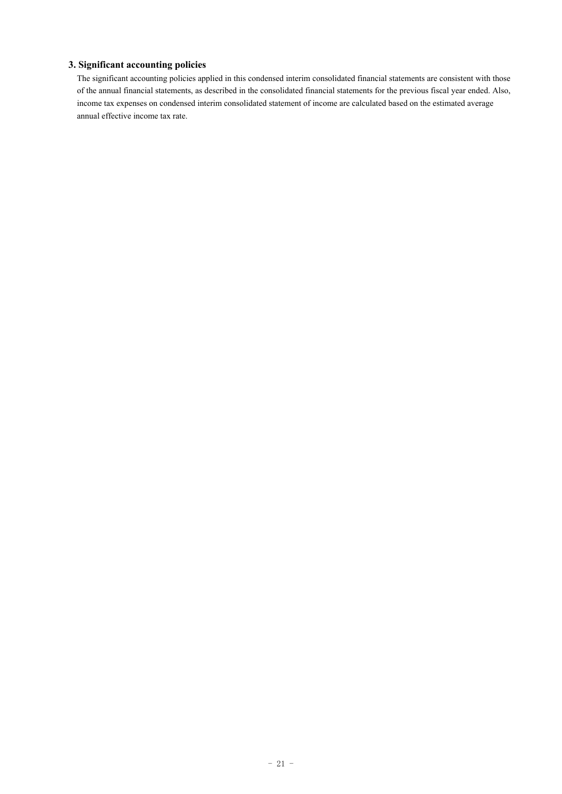#### **3. Significant accounting policies**

The significant accounting policies applied in this condensed interim consolidated financial statements are consistent with those of the annual financial statements, as described in the consolidated financial statements for the previous fiscal year ended. Also, income tax expenses on condensed interim consolidated statement of income are calculated based on the estimated average annual effective income tax rate.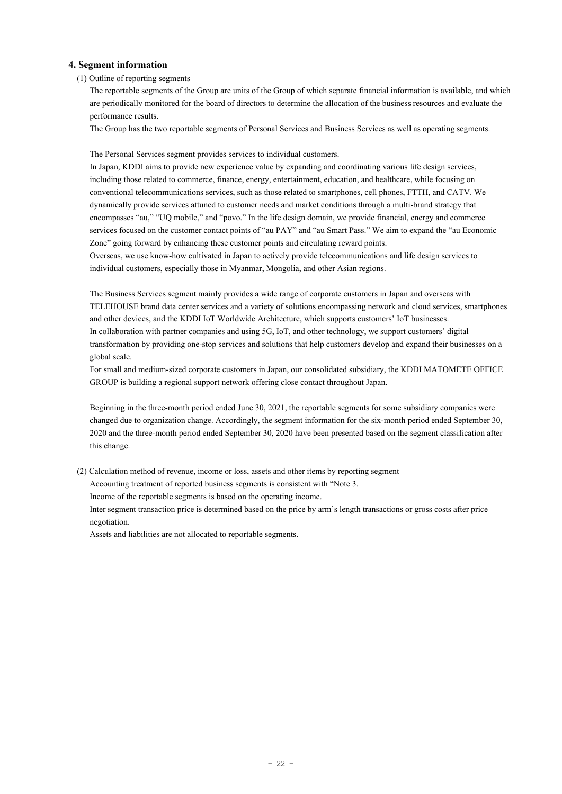#### **4. Segment information**

#### (1) Outline of reporting segments

The reportable segments of the Group are units of the Group of which separate financial information is available, and which are periodically monitored for the board of directors to determine the allocation of the business resources and evaluate the performance results.

The Group has the two reportable segments of Personal Services and Business Services as well as operating segments.

The Personal Services segment provides services to individual customers.

In Japan, KDDI aims to provide new experience value by expanding and coordinating various life design services, including those related to commerce, finance, energy, entertainment, education, and healthcare, while focusing on conventional telecommunications services, such as those related to smartphones, cell phones, FTTH, and CATV. We dynamically provide services attuned to customer needs and market conditions through a multi-brand strategy that encompasses "au," "UQ mobile," and "povo." In the life design domain, we provide financial, energy and commerce services focused on the customer contact points of "au PAY" and "au Smart Pass." We aim to expand the "au Economic Zone" going forward by enhancing these customer points and circulating reward points.

Overseas, we use know-how cultivated in Japan to actively provide telecommunications and life design services to individual customers, especially those in Myanmar, Mongolia, and other Asian regions.

The Business Services segment mainly provides a wide range of corporate customers in Japan and overseas with TELEHOUSE brand data center services and a variety of solutions encompassing network and cloud services, smartphones and other devices, and the KDDI IoT Worldwide Architecture, which supports customers' IoT businesses. In collaboration with partner companies and using 5G, IoT, and other technology, we support customers' digital transformation by providing one-stop services and solutions that help customers develop and expand their businesses on a global scale.

For small and medium-sized corporate customers in Japan, our consolidated subsidiary, the KDDI MATOMETE OFFICE GROUP is building a regional support network offering close contact throughout Japan.

Beginning in the three-month period ended June 30, 2021, the reportable segments for some subsidiary companies were changed due to organization change. Accordingly, the segment information for the six-month period ended September 30, 2020 and the three-month period ended September 30, 2020 have been presented based on the segment classification after this change.

(2) Calculation method of revenue, income or loss, assets and other items by reporting segment

Accounting treatment of reported business segments is consistent with "Note 3.

Income of the reportable segments is based on the operating income.

Inter segment transaction price is determined based on the price by arm's length transactions or gross costs after price negotiation.

Assets and liabilities are not allocated to reportable segments.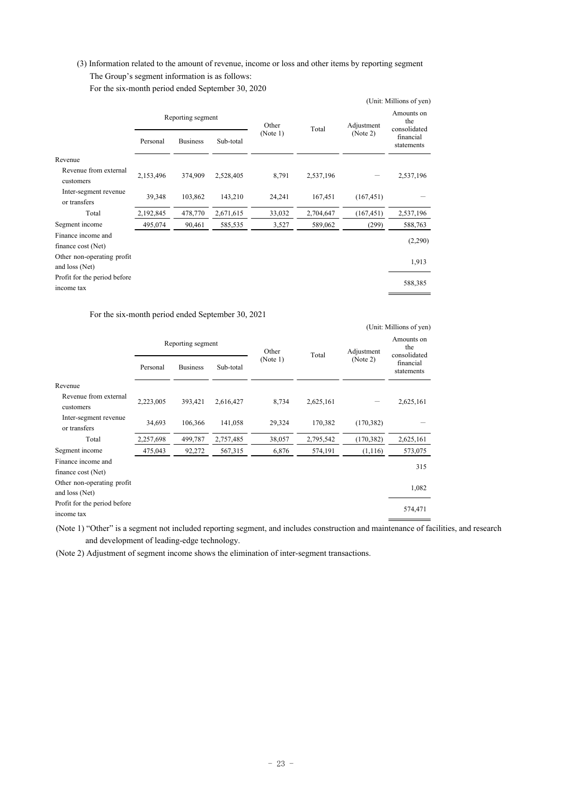### (3) Information related to the amount of revenue, income or loss and other items by reporting segment The Group's segment information is as follows:

For the six-month period ended September 30, 2020

|                              |                   |                 |           |                   |           |                        | (Unit: Millions of yen)           |
|------------------------------|-------------------|-----------------|-----------|-------------------|-----------|------------------------|-----------------------------------|
|                              | Reporting segment |                 |           | Other<br>(Note 1) | Total     | Adjustment<br>(Note 2) | Amounts on<br>the<br>consolidated |
|                              | Personal          | <b>Business</b> | Sub-total |                   |           |                        | financial<br>statements           |
| Revenue                      |                   |                 |           |                   |           |                        |                                   |
| Revenue from external        | 2,153,496         | 374,909         | 2,528,405 | 8,791             | 2,537,196 |                        | 2,537,196                         |
| customers                    |                   |                 |           |                   |           |                        |                                   |
| Inter-segment revenue        | 39,348            | 103,862         | 143,210   | 24,241            | 167,451   | (167, 451)             |                                   |
| or transfers                 |                   |                 |           |                   |           |                        |                                   |
| Total                        | 2,192,845         | 478,770         | 2,671,615 | 33,032            | 2,704,647 | (167, 451)             | 2,537,196                         |
| Segment income               | 495,074           | 90,461          | 585,535   | 3,527             | 589,062   | (299)                  | 588,763                           |
| Finance income and           |                   |                 |           |                   |           |                        |                                   |
| finance cost (Net)           |                   |                 |           |                   |           |                        | (2,290)                           |
| Other non-operating profit   |                   |                 |           |                   |           |                        | 1,913                             |
| and loss (Net)               |                   |                 |           |                   |           |                        |                                   |
| Profit for the period before |                   |                 |           |                   |           |                        | 588,385                           |
| income tax                   |                   |                 |           |                   |           |                        |                                   |

#### For the six-month period ended September 30, 2021

|                                       |                   |                 |           |          | (Unit: Millions of yen) |            |                                   |
|---------------------------------------|-------------------|-----------------|-----------|----------|-------------------------|------------|-----------------------------------|
|                                       | Reporting segment |                 |           | Other    | Total                   | Adjustment | Amounts on<br>the<br>consolidated |
|                                       | Personal          | <b>Business</b> | Sub-total | (Note 1) |                         | (Note 2)   | financial<br>statements           |
| Revenue                               |                   |                 |           |          |                         |            |                                   |
| Revenue from external<br>customers    | 2,223,005         | 393,421         | 2,616,427 | 8,734    | 2,625,161               |            | 2,625,161                         |
| Inter-segment revenue<br>or transfers | 34,693            | 106,366         | 141,058   | 29,324   | 170,382                 | (170, 382) |                                   |
| Total                                 | 2,257,698         | 499,787         | 2,757,485 | 38,057   | 2,795,542               | (170, 382) | 2,625,161                         |
| Segment income                        | 475,043           | 92,272          | 567,315   | 6,876    | 574,191                 | (1,116)    | 573,075                           |
| Finance income and                    |                   |                 |           |          |                         |            | 315                               |
| finance cost (Net)                    |                   |                 |           |          |                         |            |                                   |
| Other non-operating profit            |                   |                 |           |          |                         |            | 1,082                             |
| and loss (Net)                        |                   |                 |           |          |                         |            |                                   |
| Profit for the period before          |                   |                 |           |          |                         |            | 574,471                           |
| income tax                            |                   |                 |           |          |                         |            |                                   |

(Note 1) "Other" is a segment not included reporting segment, and includes construction and maintenance of facilities, and research and development of leading-edge technology.

(Note 2) Adjustment of segment income shows the elimination of inter-segment transactions.